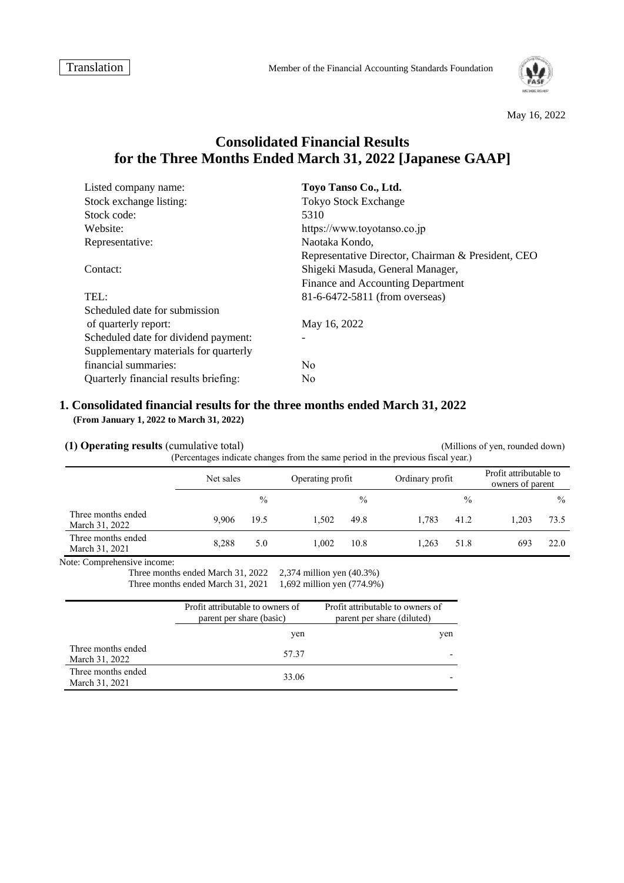

May 16, 2022

# **Consolidated Financial Results for the Three Months Ended March 31, 2022 [Japanese GAAP]**

| Listed company name:                  | Toyo Tanso Co., Ltd.                               |
|---------------------------------------|----------------------------------------------------|
| Stock exchange listing:               | <b>Tokyo Stock Exchange</b>                        |
| Stock code:                           | 5310                                               |
| Website:                              | https://www.toyotanso.co.jp                        |
| Representative:                       | Naotaka Kondo,                                     |
|                                       | Representative Director, Chairman & President, CEO |
| Contact:                              | Shigeki Masuda, General Manager,                   |
|                                       | Finance and Accounting Department                  |
| TEL:                                  | 81-6-6472-5811 (from overseas)                     |
| Scheduled date for submission         |                                                    |
| of quarterly report:                  | May 16, 2022                                       |
| Scheduled date for dividend payment:  |                                                    |
| Supplementary materials for quarterly |                                                    |
| financial summaries:                  | N <sub>0</sub>                                     |
| Quarterly financial results briefing: | N <sub>0</sub>                                     |

### **1. Consolidated financial results for the three months ended March 31, 2022 (From January 1, 2022 to March 31, 2022)**

**(1) Operating results** (cumulative total) (Millions of yen, rounded down) (Percentages indicate changes from the same period in the previous fiscal year.)

|                                      | Net sales |               | Operating profit |               | Ordinary profit |               | Profit attributable to<br>owners of parent |               |
|--------------------------------------|-----------|---------------|------------------|---------------|-----------------|---------------|--------------------------------------------|---------------|
|                                      |           | $\frac{0}{0}$ |                  | $\frac{0}{0}$ |                 | $\frac{0}{0}$ |                                            | $\frac{0}{0}$ |
| Three months ended<br>March 31, 2022 | 9.906     | 19.5          | 1.502            | 49.8          | 1.783           | 41.2          | 1.203                                      | 73.5          |
| Three months ended<br>March 31, 2021 | 8,288     | 5.0           | 1.002            | 10.8          | 1.263           | 51.8          | 693                                        | 22.0          |

Note: Comprehensive income:

Three months ended March 31, 2022 2,374 million yen (40.3%)

Three months ended March 31, 2021 1,692 million yen (774.9%)

|                                      | Profit attributable to owners of<br>parent per share (basic) | Profit attributable to owners of<br>parent per share (diluted) |
|--------------------------------------|--------------------------------------------------------------|----------------------------------------------------------------|
|                                      | yen                                                          | yen                                                            |
| Three months ended<br>March 31, 2022 | 57.37                                                        |                                                                |
| Three months ended<br>March 31, 2021 | 33.06                                                        |                                                                |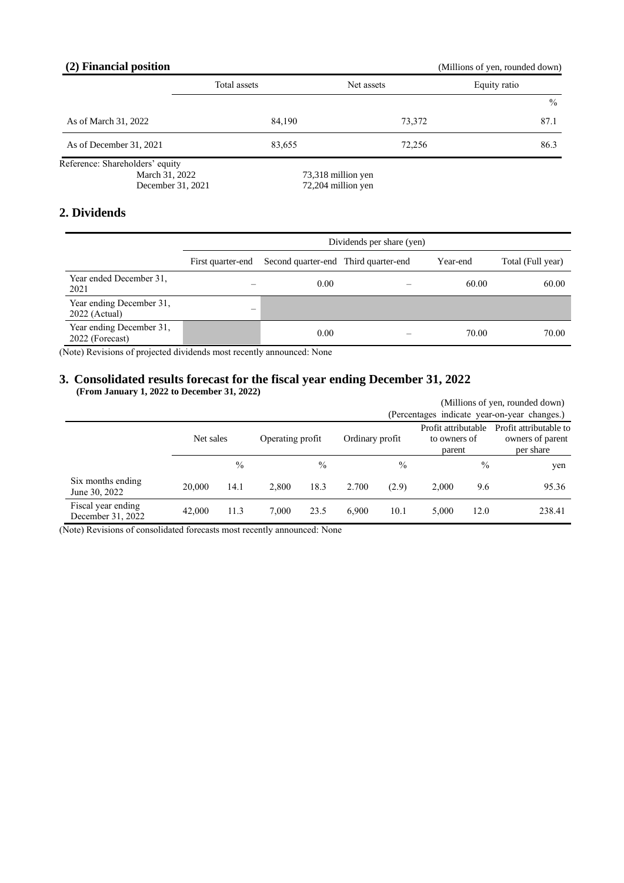# **(2) Financial position** (Millions of yen, rounded down)

|                                                                        | Total assets | Net assets                               | Equity ratio |
|------------------------------------------------------------------------|--------------|------------------------------------------|--------------|
|                                                                        |              |                                          | $\%$         |
| As of March 31, 2022                                                   | 84,190       | 73,372                                   | 87.1         |
| As of December 31, 2021                                                | 83,655       | 72,256                                   | 86.3         |
| Reference: Shareholders' equity<br>March 31, 2022<br>December 31, 2021 |              | 73,318 million yen<br>72,204 million yen |              |

# **2. Dividends**

|                                             | Dividends per share (yen) |                                      |  |          |                   |  |  |
|---------------------------------------------|---------------------------|--------------------------------------|--|----------|-------------------|--|--|
|                                             | First quarter-end         | Second quarter-end Third quarter-end |  | Year-end | Total (Full year) |  |  |
| Year ended December 31,<br>2021             |                           | 0.00                                 |  | 60.00    | 60.00             |  |  |
| Year ending December 31,<br>$2022$ (Actual) | —                         |                                      |  |          |                   |  |  |
| Year ending December 31,<br>2022 (Forecast) |                           | 0.00                                 |  | 70.00    | 70.00             |  |  |

(Note) Revisions of projected dividends most recently announced: None

### **3. Consolidated results forecast for the fiscal year ending December 31, 2022 (From January 1, 2022 to December 31, 2022)**

|                                         |           |      |                  |               | (Millions of yen, rounded down) |       |                                               |               |                                                         |
|-----------------------------------------|-----------|------|------------------|---------------|---------------------------------|-------|-----------------------------------------------|---------------|---------------------------------------------------------|
|                                         |           |      |                  |               |                                 |       |                                               |               | (Percentages indicate year-on-year changes.)            |
|                                         | Net sales |      | Operating profit |               | Ordinary profit                 |       | Profit attributable<br>to owners of<br>parent |               | Profit attributable to<br>owners of parent<br>per share |
|                                         |           | $\%$ |                  | $\frac{0}{0}$ |                                 | $\%$  |                                               | $\frac{0}{0}$ | yen                                                     |
| Six months ending<br>June 30, 2022      | 20,000    | 14.1 | 2.800            | 18.3          | 2.700                           | (2.9) | 2,000                                         | 9.6           | 95.36                                                   |
| Fiscal year ending<br>December 31, 2022 | 42,000    | 11.3 | 7.000            | 23.5          | 6.900                           | 10.1  | 5.000                                         | 12.0          | 238.41                                                  |

(Note) Revisions of consolidated forecasts most recently announced: None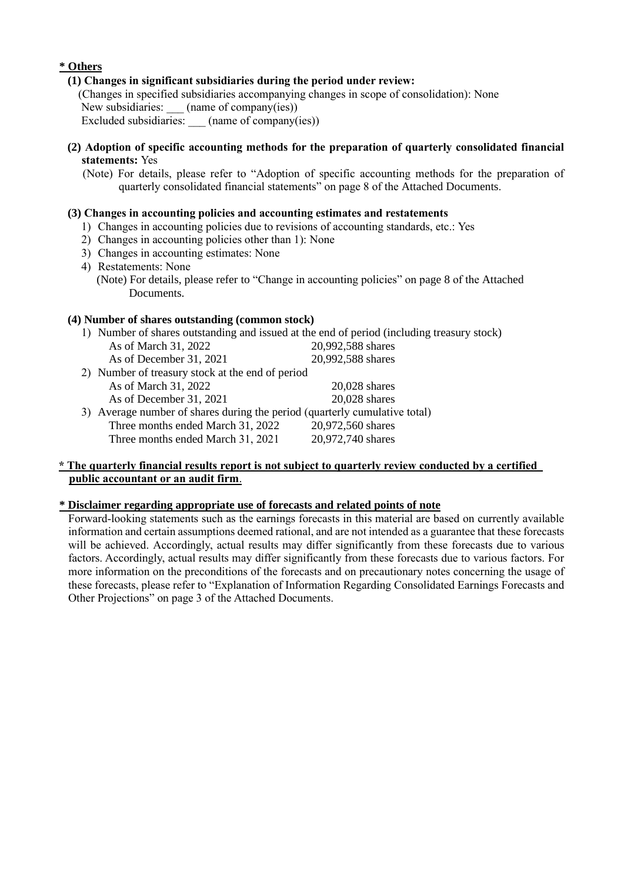# **\* Others**

### **(1) Changes in significant subsidiaries during the period under review:**

(Changes in specified subsidiaries accompanying changes in scope of consolidation): None New subsidiaries: \_\_\_ (name of company(ies))

Excluded subsidiaries: (name of company(ies))

**(2) Adoption of specific accounting methods for the preparation of quarterly consolidated financial statements:** Yes

(Note) For details, please refer to "Adoption of specific accounting methods for the preparation of quarterly consolidated financial statements" on page 8 of the Attached Documents.

# **(3) Changes in accounting policies and accounting estimates and restatements**

- 1) Changes in accounting policies due to revisions of accounting standards, etc.: Yes
- 2) Changes in accounting policies other than 1): None
- 3) Changes in accounting estimates: None
- 4) Restatements: None
	- (Note) For details, please refer to "Change in accounting policies" on page 8 of the Attached Documents.

## **(4) Number of shares outstanding (common stock)**

|                                                                            | 1) Number of shares outstanding and issued at the end of period (including treasury stock) |
|----------------------------------------------------------------------------|--------------------------------------------------------------------------------------------|
| As of March 31, 2022                                                       | 20,992,588 shares                                                                          |
| As of December 31, 2021                                                    | 20,992,588 shares                                                                          |
| 2) Number of treasury stock at the end of period                           |                                                                                            |
| As of March 31, 2022                                                       | $20,028$ shares                                                                            |
| As of December 31, 2021                                                    | 20,028 shares                                                                              |
| 3) Average number of shares during the period (quarterly cumulative total) |                                                                                            |
| Three months ended March 31, 2022                                          | 20,972,560 shares                                                                          |
| Three months ended March 31, 2021                                          | 20,972,740 shares                                                                          |
|                                                                            |                                                                                            |

## **\* The quarterly financial results report is not subject to quarterly review conducted by a certified public accountant or an audit firm**.

## **\* Disclaimer regarding appropriate use of forecasts and related points of note**

Forward-looking statements such as the earnings forecasts in this material are based on currently available information and certain assumptions deemed rational, and are not intended as a guarantee that these forecasts will be achieved. Accordingly, actual results may differ significantly from these forecasts due to various factors. Accordingly, actual results may differ significantly from these forecasts due to various factors. For more information on the preconditions of the forecasts and on precautionary notes concerning the usage of these forecasts, please refer to "Explanation of Information Regarding Consolidated Earnings Forecasts and Other Projections" on page 3 of the Attached Documents.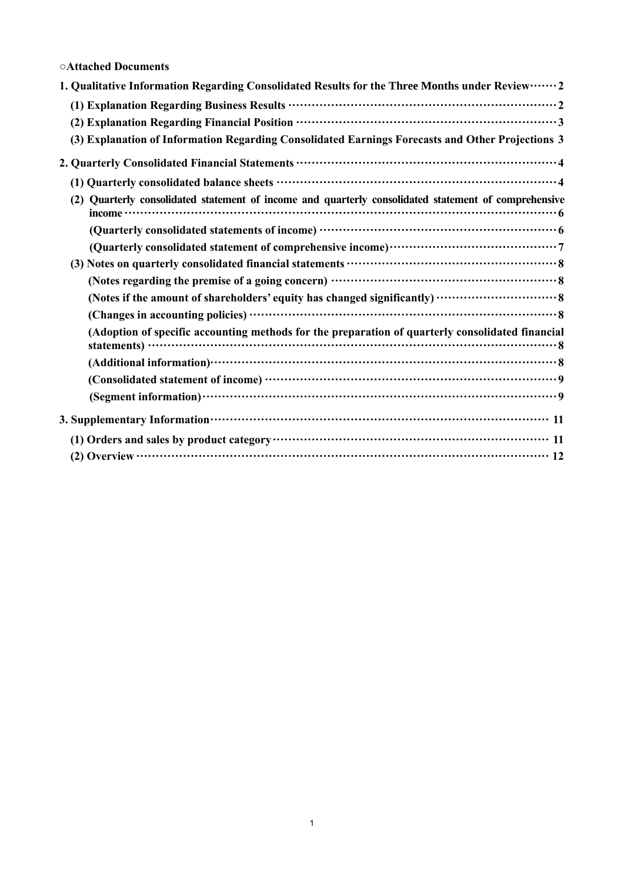# **○Attached Documents**

| 1. Qualitative Information Regarding Consolidated Results for the Three Months under Review  2       |
|------------------------------------------------------------------------------------------------------|
|                                                                                                      |
|                                                                                                      |
| (3) Explanation of Information Regarding Consolidated Earnings Forecasts and Other Projections 3     |
|                                                                                                      |
|                                                                                                      |
| (2) Quarterly consolidated statement of income and quarterly consolidated statement of comprehensive |
|                                                                                                      |
|                                                                                                      |
|                                                                                                      |
|                                                                                                      |
|                                                                                                      |
|                                                                                                      |
| (Adoption of specific accounting methods for the preparation of quarterly consolidated financial     |
|                                                                                                      |
|                                                                                                      |
|                                                                                                      |
|                                                                                                      |
|                                                                                                      |
|                                                                                                      |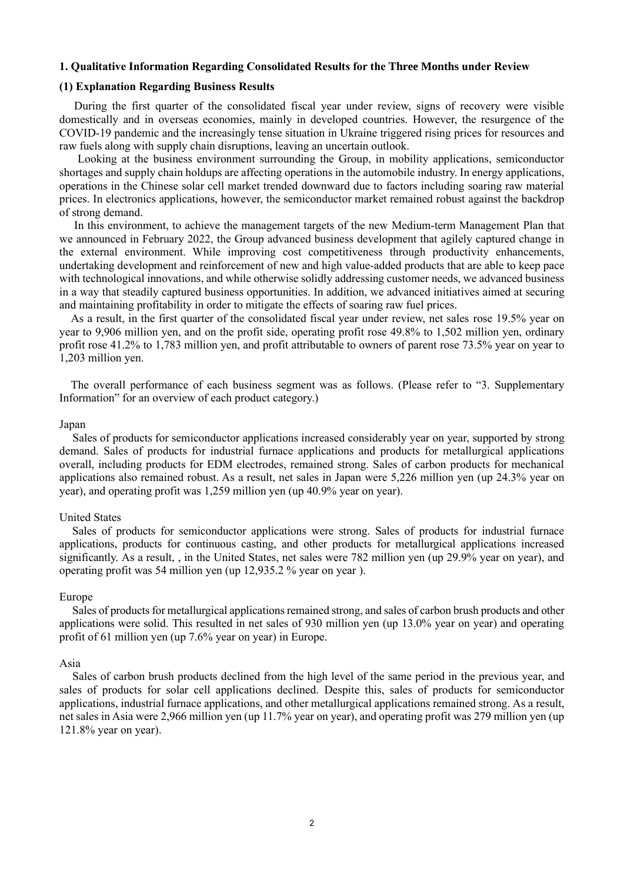## <span id="page-4-0"></span>**1. Qualitative Information Regarding Consolidated Results for the Three Months under Review**

# <span id="page-4-1"></span>**(1) Explanation Regarding Business Results**

During the first quarter of the consolidated fiscal year under review, signs of recovery were visible domestically and in overseas economies, mainly in developed countries. However, the resurgence of the COVID-19 pandemic and the increasingly tense situation in Ukraine triggered rising prices for resources and raw fuels along with supply chain disruptions, leaving an uncertain outlook.

Looking at the business environment surrounding the Group, in mobility applications, semiconductor shortages and supply chain holdups are affecting operations in the automobile industry. In energy applications, operations in the Chinese solar cell market trended downward due to factors including soaring raw material prices. In electronics applications, however, the semiconductor market remained robust against the backdrop of strong demand.

In this environment, to achieve the management targets of the new Medium-term Management Plan that we announced in February 2022, the Group advanced business development that agilely captured change in the external environment. While improving cost competitiveness through productivity enhancements, undertaking development and reinforcement of new and high value-added products that are able to keep pace with technological innovations, and while otherwise solidly addressing customer needs, we advanced business in a way that steadily captured business opportunities. In addition, we advanced initiatives aimed at securing and maintaining profitability in order to mitigate the effects of soaring raw fuel prices.

As a result, in the first quarter of the consolidated fiscal year under review, net sales rose 19.5% year on year to 9,906 million yen, and on the profit side, operating profit rose 49.8% to 1,502 million yen, ordinary profit rose 41.2% to 1,783 million yen, and profit attributable to owners of parent rose 73.5% year on year to 1,203 million yen.

The overall performance of each business segment was as follows. (Please refer to "3. Supplementary Information" for an overview of each product category.)

#### Japan

Sales of products for semiconductor applications increased considerably year on year, supported by strong demand. Sales of products for industrial furnace applications and products for metallurgical applications overall, including products for EDM electrodes, remained strong. Sales of carbon products for mechanical applications also remained robust. As a result, net sales in Japan were 5,226 million yen (up 24.3% year on year), and operating profit was 1,259 million yen (up 40.9% year on year).

### United States

Sales of products for semiconductor applications were strong. Sales of products for industrial furnace applications, products for continuous casting, and other products for metallurgical applications increased significantly. As a result, , in the United States, net sales were 782 million yen (up 29.9% year on year), and operating profit was 54 million yen (up 12,935.2 % year on year ).

### Europe

Sales of products for metallurgical applications remained strong, and sales of carbon brush products and other applications were solid. This resulted in net sales of 930 million yen (up 13.0% year on year) and operating profit of 61 million yen (up 7.6% year on year) in Europe.

#### Asia

Sales of carbon brush products declined from the high level of the same period in the previous year, and sales of products for solar cell applications declined. Despite this, sales of products for semiconductor applications, industrial furnace applications, and other metallurgical applications remained strong. As a result, net sales in Asia were 2,966 million yen (up 11.7% year on year), and operating profit was 279 million yen (up 121.8% year on year).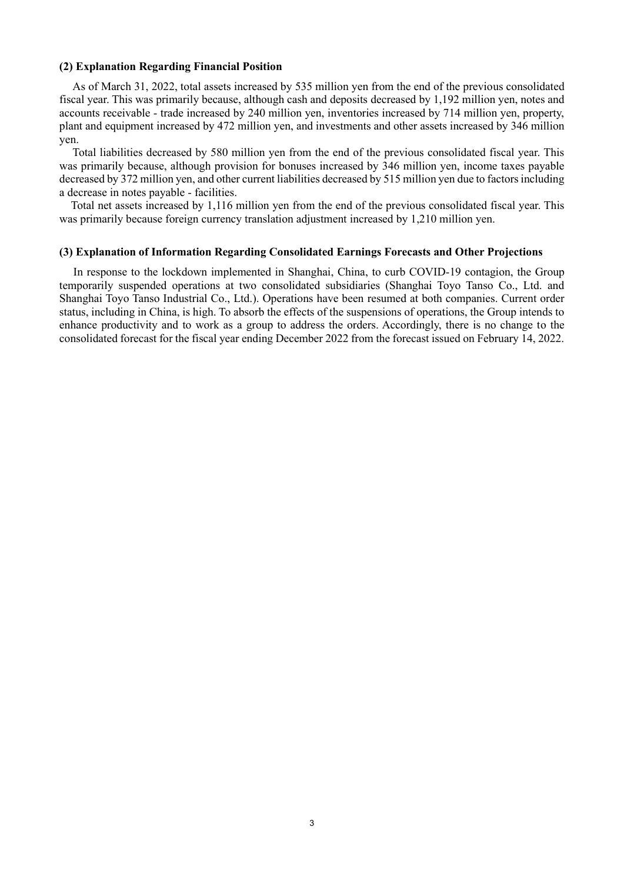### <span id="page-5-0"></span>**(2) Explanation Regarding Financial Position**

As of March 31, 2022, total assets increased by 535 million yen from the end of the previous consolidated fiscal year. This was primarily because, although cash and deposits decreased by 1,192 million yen, notes and accounts receivable - trade increased by 240 million yen, inventories increased by 714 million yen, property, plant and equipment increased by 472 million yen, and investments and other assets increased by 346 million yen.

Total liabilities decreased by 580 million yen from the end of the previous consolidated fiscal year. This was primarily because, although provision for bonuses increased by 346 million yen, income taxes payable decreased by 372 million yen, and other current liabilities decreased by 515 million yen due to factors including a decrease in notes payable - facilities.

Total net assets increased by 1,116 million yen from the end of the previous consolidated fiscal year. This was primarily because foreign currency translation adjustment increased by 1,210 million yen.

#### <span id="page-5-1"></span>**(3) Explanation of Information Regarding Consolidated Earnings Forecasts and Other Projections**

In response to the lockdown implemented in Shanghai, China, to curb COVID-19 contagion, the Group temporarily suspended operations at two consolidated subsidiaries (Shanghai Toyo Tanso Co., Ltd. and Shanghai Toyo Tanso Industrial Co., Ltd.). Operations have been resumed at both companies. Current order status, including in China, is high. To absorb the effects of the suspensions of operations, the Group intends to enhance productivity and to work as a group to address the orders. Accordingly, there is no change to the consolidated forecast for the fiscal year ending December 2022 from the forecast issued on February 14, 2022.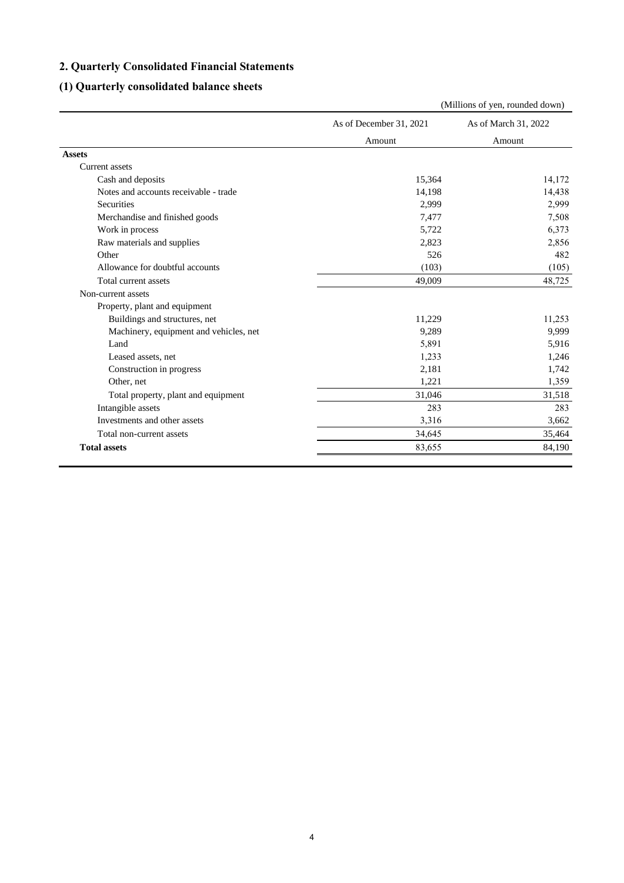# <span id="page-6-0"></span>**2. Quarterly Consolidated Financial Statements**

# <span id="page-6-1"></span>**(1) Quarterly consolidated balance sheets**

|                                        |                         | (Millions of yen, rounded down) |  |
|----------------------------------------|-------------------------|---------------------------------|--|
|                                        | As of December 31, 2021 | As of March 31, 2022            |  |
|                                        | Amount                  | Amount                          |  |
| <b>Assets</b>                          |                         |                                 |  |
| <b>Current</b> assets                  |                         |                                 |  |
| Cash and deposits                      | 15,364                  | 14,172                          |  |
| Notes and accounts receivable - trade  | 14,198                  | 14,438                          |  |
| Securities                             | 2,999                   | 2,999                           |  |
| Merchandise and finished goods         | 7,477                   | 7,508                           |  |
| Work in process                        | 5,722                   | 6,373                           |  |
| Raw materials and supplies             | 2,823                   | 2,856                           |  |
| Other                                  | 526                     | 482                             |  |
| Allowance for doubtful accounts        | (103)                   | (105)                           |  |
| Total current assets                   | 49,009                  | 48,725                          |  |
| Non-current assets                     |                         |                                 |  |
| Property, plant and equipment          |                         |                                 |  |
| Buildings and structures, net          | 11,229                  | 11,253                          |  |
| Machinery, equipment and vehicles, net | 9,289                   | 9,999                           |  |
| Land                                   | 5,891                   | 5,916                           |  |
| Leased assets, net                     | 1,233                   | 1,246                           |  |
| Construction in progress               | 2,181                   | 1,742                           |  |
| Other, net                             | 1,221                   | 1,359                           |  |
| Total property, plant and equipment    | 31,046                  | 31,518                          |  |
| Intangible assets                      | 283                     | 283                             |  |
| Investments and other assets           | 3,316                   | 3,662                           |  |
| Total non-current assets               | 34,645                  | 35,464                          |  |
| <b>Total assets</b>                    | 83,655                  | 84,190                          |  |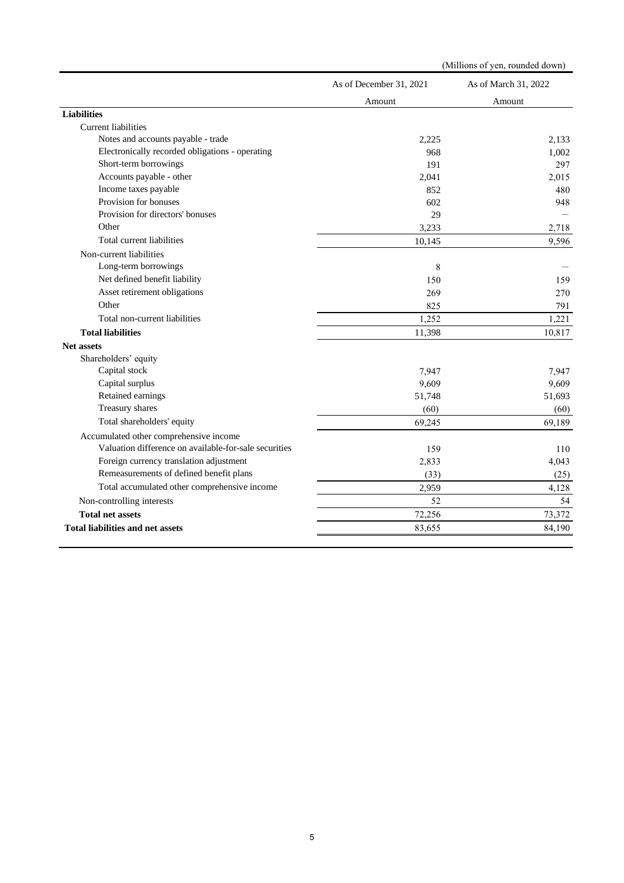|                                                       | (Millions of yen, rounded down) |                      |  |  |
|-------------------------------------------------------|---------------------------------|----------------------|--|--|
|                                                       | As of December 31, 2021         | As of March 31, 2022 |  |  |
|                                                       | Amount                          | Amount               |  |  |
| <b>Liabilities</b>                                    |                                 |                      |  |  |
| <b>Current liabilities</b>                            |                                 |                      |  |  |
| Notes and accounts payable - trade                    | 2,225                           | 2,133                |  |  |
| Electronically recorded obligations - operating       | 968                             | 1,002                |  |  |
| Short-term borrowings                                 | 191                             | 297                  |  |  |
| Accounts payable - other                              | 2,041                           | 2,015                |  |  |
| Income taxes payable                                  | 852                             | 480                  |  |  |
| Provision for bonuses                                 | 602                             | 948                  |  |  |
| Provision for directors' bonuses                      | 29                              |                      |  |  |
| Other                                                 | 3,233                           | 2,718                |  |  |
| Total current liabilities                             | 10,145                          | 9,596                |  |  |
| Non-current liabilities                               |                                 |                      |  |  |
| Long-term borrowings                                  | 8                               |                      |  |  |
| Net defined benefit liability                         | 150                             | 159                  |  |  |
| Asset retirement obligations                          | 269                             | 270                  |  |  |
| Other                                                 | 825                             | 791                  |  |  |
| Total non-current liabilities                         | 1,252                           | 1,221                |  |  |
| <b>Total liabilities</b>                              | 11,398                          | 10,817               |  |  |
| <b>Net assets</b>                                     |                                 |                      |  |  |
| Shareholders' equity                                  |                                 |                      |  |  |
| Capital stock                                         | 7,947                           | 7.947                |  |  |
| Capital surplus                                       | 9,609                           | 9,609                |  |  |
| Retained earnings                                     | 51,748                          | 51,693               |  |  |
| Treasury shares                                       | (60)                            | (60)                 |  |  |
| Total shareholders' equity                            | 69,245                          | 69,189               |  |  |
| Accumulated other comprehensive income                |                                 |                      |  |  |
| Valuation difference on available-for-sale securities | 159                             | 110                  |  |  |
| Foreign currency translation adjustment               | 2,833                           | 4,043                |  |  |
| Remeasurements of defined benefit plans               | (33)                            | (25)                 |  |  |
| Total accumulated other comprehensive income          | 2,959                           | 4,128                |  |  |
| Non-controlling interests                             | 52                              | 54                   |  |  |
| <b>Total net assets</b>                               | 72,256                          | 73,372               |  |  |
| <b>Total liabilities and net assets</b>               | 83,655                          | 84,190               |  |  |
|                                                       |                                 |                      |  |  |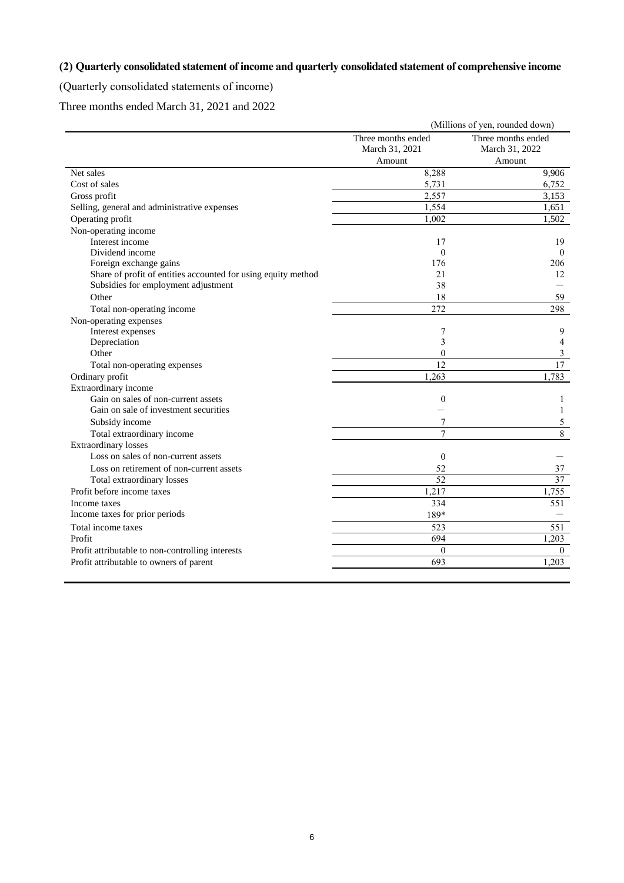# <span id="page-8-0"></span>**(2) Quarterly consolidated statement of income and quarterly consolidated statement of comprehensive income**

<span id="page-8-1"></span>(Quarterly consolidated statements of income)

Three months ended March 31, 2021 and 2022

|                                                               | (Millions of yen, rounded down) |                          |  |  |
|---------------------------------------------------------------|---------------------------------|--------------------------|--|--|
|                                                               | Three months ended              | Three months ended       |  |  |
|                                                               | March 31, 2021                  | March 31, 2022           |  |  |
|                                                               | Amount                          | Amount                   |  |  |
| Net sales                                                     | 8,288                           | 9.906                    |  |  |
| Cost of sales                                                 | 5,731                           | 6,752                    |  |  |
| Gross profit                                                  | 2,557                           | 3,153                    |  |  |
| Selling, general and administrative expenses                  | 1,554                           | 1,651                    |  |  |
| Operating profit                                              | 1,002                           | 1,502                    |  |  |
| Non-operating income                                          |                                 |                          |  |  |
| Interest income                                               | 17                              | 19                       |  |  |
| Dividend income                                               | $\theta$                        | $\theta$                 |  |  |
| Foreign exchange gains                                        | 176                             | 206                      |  |  |
| Share of profit of entities accounted for using equity method | 21                              | 12                       |  |  |
| Subsidies for employment adjustment                           | 38                              |                          |  |  |
| Other                                                         | 18                              | 59                       |  |  |
| Total non-operating income                                    | 272                             | 298                      |  |  |
| Non-operating expenses                                        |                                 |                          |  |  |
| Interest expenses                                             | 7                               | 9                        |  |  |
| Depreciation                                                  | 3                               | $\overline{\mathcal{L}}$ |  |  |
| Other                                                         | $\theta$                        | 3                        |  |  |
| Total non-operating expenses                                  | 12                              | $\overline{17}$          |  |  |
| Ordinary profit                                               | 1.263                           | 1,783                    |  |  |
| Extraordinary income                                          |                                 |                          |  |  |
| Gain on sales of non-current assets                           | $\theta$                        | 1                        |  |  |
| Gain on sale of investment securities                         |                                 | 1                        |  |  |
| Subsidy income                                                |                                 | 5                        |  |  |
| Total extraordinary income                                    | $\overline{7}$                  | $\overline{8}$           |  |  |
| <b>Extraordinary losses</b>                                   |                                 |                          |  |  |
| Loss on sales of non-current assets                           | $\mathbf{0}$                    |                          |  |  |
| Loss on retirement of non-current assets                      | 52                              | 37                       |  |  |
| Total extraordinary losses                                    | 52                              | 37                       |  |  |
| Profit before income taxes                                    | 1,217                           | 1,755                    |  |  |
| Income taxes                                                  | 334                             | 551                      |  |  |
| Income taxes for prior periods                                | 189*                            |                          |  |  |
| Total income taxes                                            | 523                             | $\overline{551}$         |  |  |
| Profit                                                        | 694                             | 1.203                    |  |  |
| Profit attributable to non-controlling interests              | $\theta$                        | $\Omega$                 |  |  |
| Profit attributable to owners of parent                       | 693                             | 1,203                    |  |  |
|                                                               |                                 |                          |  |  |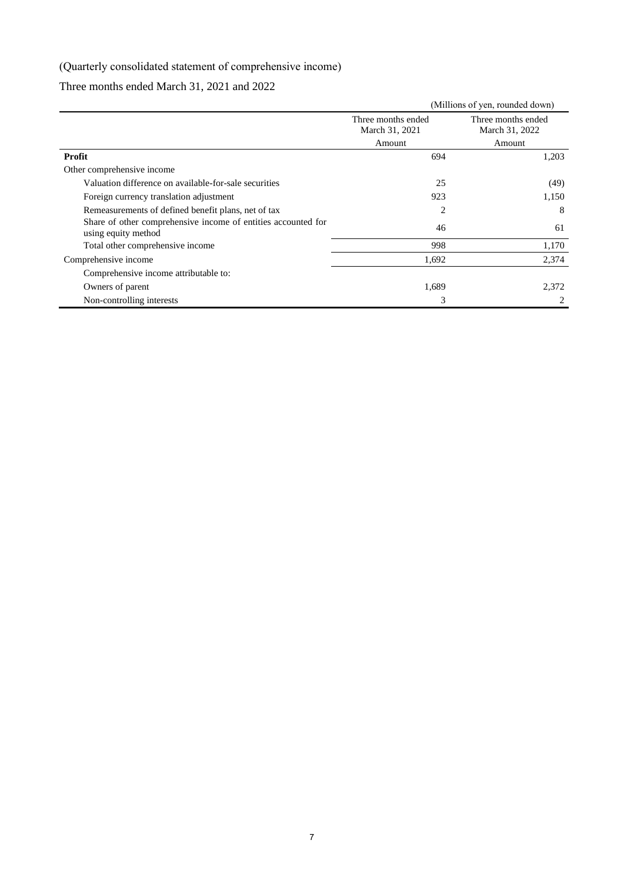# <span id="page-9-0"></span>(Quarterly consolidated statement of comprehensive income)

# Three months ended March 31, 2021 and 2022

|                                                                                      | (Millions of yen, rounded down)      |                                      |  |  |
|--------------------------------------------------------------------------------------|--------------------------------------|--------------------------------------|--|--|
|                                                                                      | Three months ended<br>March 31, 2021 | Three months ended<br>March 31, 2022 |  |  |
|                                                                                      | Amount                               | Amount                               |  |  |
| Profit                                                                               | 694                                  | 1,203                                |  |  |
| Other comprehensive income                                                           |                                      |                                      |  |  |
| Valuation difference on available-for-sale securities                                | 25                                   | (49)                                 |  |  |
| Foreign currency translation adjustment                                              | 923                                  | 1,150                                |  |  |
| Remeasurements of defined benefit plans, net of tax                                  | $\overline{2}$                       | 8                                    |  |  |
| Share of other comprehensive income of entities accounted for<br>using equity method | 46                                   | 61                                   |  |  |
| Total other comprehensive income                                                     | 998                                  | 1,170                                |  |  |
| Comprehensive income                                                                 | 1,692                                | 2,374                                |  |  |
| Comprehensive income attributable to:                                                |                                      |                                      |  |  |
| Owners of parent                                                                     | 1,689                                | 2,372                                |  |  |
| Non-controlling interests                                                            | 3                                    | 2                                    |  |  |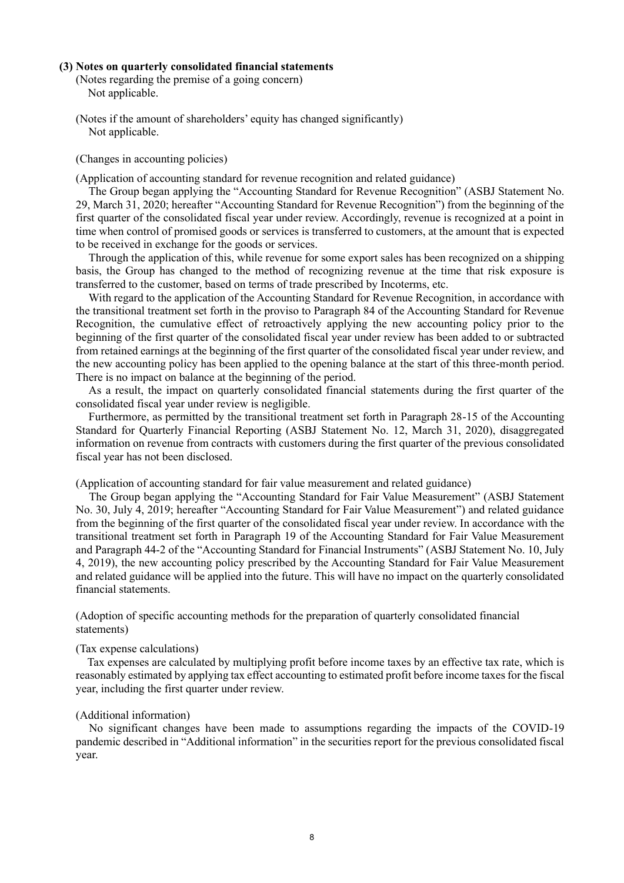### <span id="page-10-1"></span><span id="page-10-0"></span>**(3) Notes on quarterly consolidated financial statements**

(Notes regarding the premise of a going concern) Not applicable.

<span id="page-10-2"></span>(Notes if the amount of shareholders' equity has changed significantly) Not applicable.

<span id="page-10-3"></span>(Changes in accounting policies)

(Application of accounting standard for revenue recognition and related guidance)

The Group began applying the "Accounting Standard for Revenue Recognition" (ASBJ Statement No. 29, March 31, 2020; hereafter "Accounting Standard for Revenue Recognition") from the beginning of the first quarter of the consolidated fiscal year under review. Accordingly, revenue is recognized at a point in time when control of promised goods or services is transferred to customers, at the amount that is expected to be received in exchange for the goods or services.

Through the application of this, while revenue for some export sales has been recognized on a shipping basis, the Group has changed to the method of recognizing revenue at the time that risk exposure is transferred to the customer, based on terms of trade prescribed by Incoterms, etc.

With regard to the application of the Accounting Standard for Revenue Recognition, in accordance with the transitional treatment set forth in the proviso to Paragraph 84 of the Accounting Standard for Revenue Recognition, the cumulative effect of retroactively applying the new accounting policy prior to the beginning of the first quarter of the consolidated fiscal year under review has been added to or subtracted from retained earnings at the beginning of the first quarter of the consolidated fiscal year under review, and the new accounting policy has been applied to the opening balance at the start of this three-month period. There is no impact on balance at the beginning of the period.

As a result, the impact on quarterly consolidated financial statements during the first quarter of the consolidated fiscal year under review is negligible.

Furthermore, as permitted by the transitional treatment set forth in Paragraph 28-15 of the Accounting Standard for Quarterly Financial Reporting (ASBJ Statement No. 12, March 31, 2020), disaggregated information on revenue from contracts with customers during the first quarter of the previous consolidated fiscal year has not been disclosed.

(Application of accounting standard for fair value measurement and related guidance)

The Group began applying the "Accounting Standard for Fair Value Measurement" (ASBJ Statement No. 30, July 4, 2019; hereafter "Accounting Standard for Fair Value Measurement") and related guidance from the beginning of the first quarter of the consolidated fiscal year under review. In accordance with the transitional treatment set forth in Paragraph 19 of the Accounting Standard for Fair Value Measurement and Paragraph 44-2 of the "Accounting Standard for Financial Instruments" (ASBJ Statement No. 10, July 4, 2019), the new accounting policy prescribed by the Accounting Standard for Fair Value Measurement and related guidance will be applied into the future. This will have no impact on the quarterly consolidated financial statements.

<span id="page-10-4"></span>(Adoption of specific accounting methods for the preparation of quarterly consolidated financial statements)

### (Tax expense calculations)

Tax expenses are calculated by multiplying profit before income taxes by an effective tax rate, which is reasonably estimated by applying tax effect accounting to estimated profit before income taxes for the fiscal year, including the first quarter under review.

#### <span id="page-10-5"></span>(Additional information)

No significant changes have been made to assumptions regarding the impacts of the COVID-19 pandemic described in "Additional information" in the securities report for the previous consolidated fiscal year.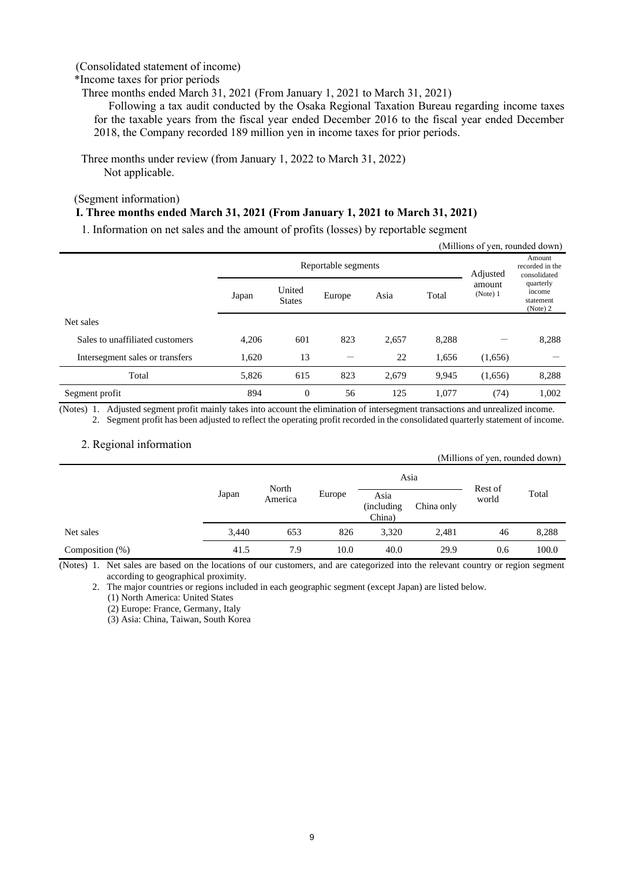## <span id="page-11-0"></span>(Consolidated statement of income)

### \*Income taxes for prior periods

Three months ended March 31, 2021 (From January 1, 2021 to March 31, 2021)

Following a tax audit conducted by the Osaka Regional Taxation Bureau regarding income taxes for the taxable years from the fiscal year ended December 2016 to the fiscal year ended December 2018, the Company recorded 189 million yen in income taxes for prior periods.

Three months under review (from January 1, 2022 to March 31, 2022) Not applicable.

<span id="page-11-1"></span>(Segment information)

### **I. Three months ended March 31, 2021 (From January 1, 2021 to March 31, 2021)**

1. Information on net sales and the amount of profits (losses) by reportable segment

| (Millions of yen, rounded down) |                                 |                         |        |       |       |                    |                                              |  |  |
|---------------------------------|---------------------------------|-------------------------|--------|-------|-------|--------------------|----------------------------------------------|--|--|
|                                 | Reportable segments<br>Adjusted |                         |        |       |       |                    | Amount<br>recorded in the<br>consolidated    |  |  |
|                                 | Japan                           | United<br><b>States</b> | Europe | Asia  | Total | amount<br>(Note) 1 | quarterly<br>income<br>statement<br>(Note) 2 |  |  |
| Net sales                       |                                 |                         |        |       |       |                    |                                              |  |  |
| Sales to unaffiliated customers | 4,206                           | 601                     | 823    | 2,657 | 8,288 |                    | 8,288                                        |  |  |
| Intersegment sales or transfers | 1,620                           | 13                      |        | 22    | 1,656 | (1,656)            |                                              |  |  |
| Total                           | 5,826                           | 615                     | 823    | 2,679 | 9,945 | (1,656)            | 8,288                                        |  |  |
| Segment profit                  | 894                             | $\theta$                | 56     | 125   | 1,077 | (74)               | 1,002                                        |  |  |

(Notes) 1. Adjusted segment profit mainly takes into account the elimination of intersegment transactions and unrealized income. 2. Segment profit has been adjusted to reflect the operating profit recorded in the consolidated quarterly statement of income.

## 2. Regional information

|                    |       |         |        |                              |            | (Millions of yen, rounded down) |       |
|--------------------|-------|---------|--------|------------------------------|------------|---------------------------------|-------|
|                    |       | North   |        |                              | Asia       |                                 |       |
|                    | Japan | America | Europe | Asia<br>(including<br>China) | China only | Rest of<br>world                | Total |
| Net sales          | 3,440 | 653     | 826    | 3,320                        | 2,481      | 46                              | 8,288 |
| Composition $(\%)$ | 41.5  | 7.9     | 10.0   | 40.0                         | 29.9       | 0.6                             | 100.0 |

(Notes) 1. Net sales are based on the locations of our customers, and are categorized into the relevant country or region segment according to geographical proximity.

2. The major countries or regions included in each geographic segment (except Japan) are listed below. (1) North America: United States

(2) Europe: France, Germany, Italy

(3) Asia: China, Taiwan, South Korea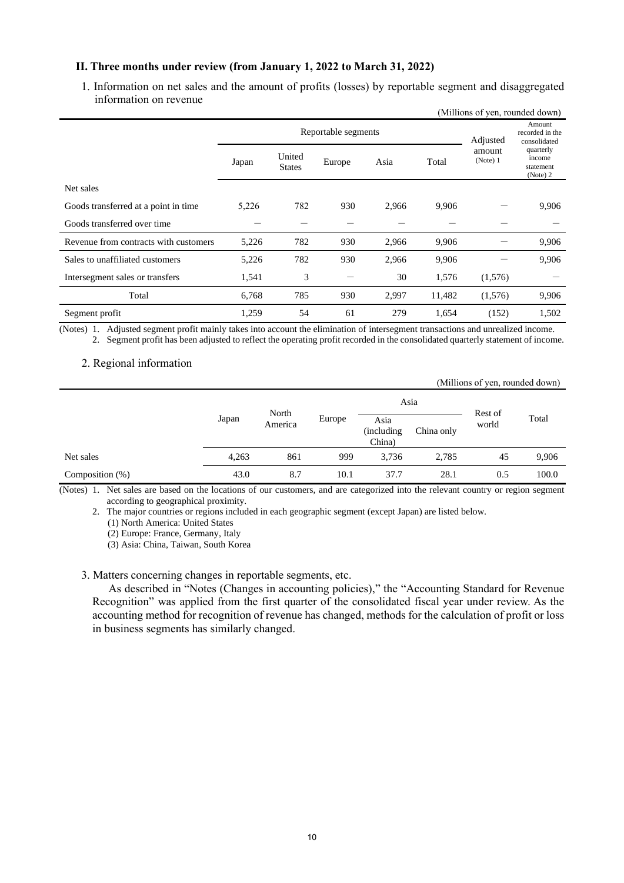## **II. Three months under review (from January 1, 2022 to March 31, 2022)**

1. Information on net sales and the amount of profits (losses) by reportable segment and disaggregated information on revenue

|                                       | (Millions of yen, rounded down) |                         |          |                                           |        |                    |                                              |  |
|---------------------------------------|---------------------------------|-------------------------|----------|-------------------------------------------|--------|--------------------|----------------------------------------------|--|
|                                       |                                 | Reportable segments     | Adjusted | Amount<br>recorded in the<br>consolidated |        |                    |                                              |  |
|                                       | Japan                           | United<br><b>States</b> | Europe   | Asia                                      | Total  | amount<br>(Note) 1 | quarterly<br>income<br>statement<br>(Note) 2 |  |
| Net sales                             |                                 |                         |          |                                           |        |                    |                                              |  |
| Goods transferred at a point in time  | 5,226                           | 782                     | 930      | 2,966                                     | 9,906  |                    | 9,906                                        |  |
| Goods transferred over time           |                                 |                         |          |                                           |        |                    |                                              |  |
| Revenue from contracts with customers | 5,226                           | 782                     | 930      | 2,966                                     | 9,906  |                    | 9,906                                        |  |
| Sales to unaffiliated customers       | 5,226                           | 782                     | 930      | 2,966                                     | 9,906  |                    | 9,906                                        |  |
| Intersegment sales or transfers       | 1,541                           | 3                       |          | 30                                        | 1,576  | (1,576)            |                                              |  |
| Total                                 | 6,768                           | 785                     | 930      | 2,997                                     | 11,482 | (1,576)            | 9,906                                        |  |
| Segment profit                        | 1,259                           | 54                      | 61       | 279                                       | 1,654  | (152)              | 1,502                                        |  |

(Notes) 1. Adjusted segment profit mainly takes into account the elimination of intersegment transactions and unrealized income. 2. Segment profit has been adjusted to reflect the operating profit recorded in the consolidated quarterly statement of income.

## 2. Regional information

|                    |       |         |        |                              |            | (Millions of yen, rounded down) |       |
|--------------------|-------|---------|--------|------------------------------|------------|---------------------------------|-------|
|                    |       | North   |        |                              | Asia       | Rest of                         |       |
|                    | Japan | America | Europe | Asia<br>(including<br>China) | China only | world                           | Total |
| Net sales          | 4,263 | 861     | 999    | 3,736                        | 2,785      | 45                              | 9,906 |
| Composition $(\%)$ | 43.0  | 8.7     | 10.1   | 37.7                         | 28.1       | 0.5                             | 100.0 |

(Notes) 1. Net sales are based on the locations of our customers, and are categorized into the relevant country or region segment according to geographical proximity.

2. The major countries or regions included in each geographic segment (except Japan) are listed below.

(1) North America: United States

(2) Europe: France, Germany, Italy

(3) Asia: China, Taiwan, South Korea

3. Matters concerning changes in reportable segments, etc.

As described in "Notes (Changes in accounting policies)," the "Accounting Standard for Revenue Recognition" was applied from the first quarter of the consolidated fiscal year under review. As the accounting method for recognition of revenue has changed, methods for the calculation of profit or loss in business segments has similarly changed.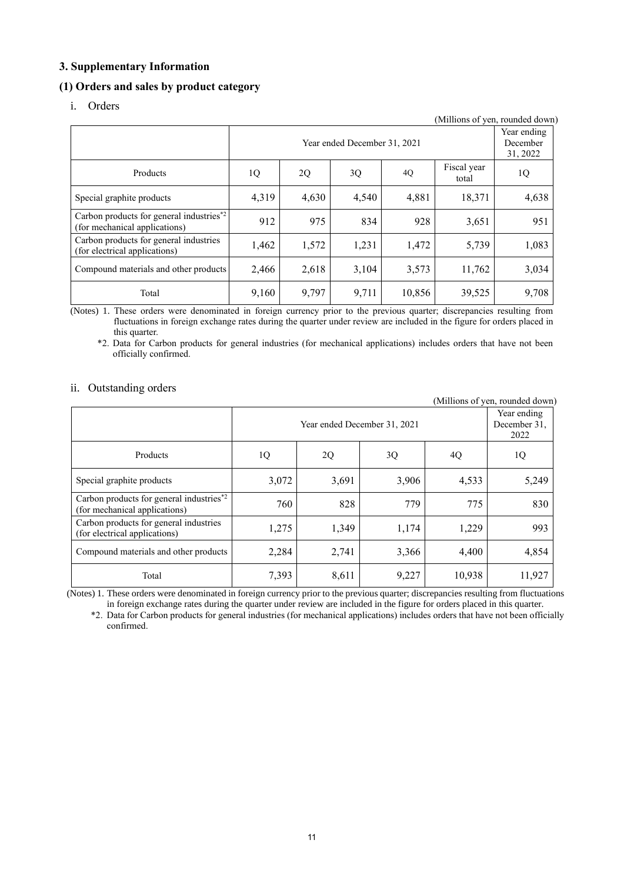## <span id="page-13-0"></span>**3. Supplementary Information**

# <span id="page-13-1"></span>**(1) Orders and sales by product category**

i. Orders

| (Millions of yen, rounded down)                                           |       |                                     |       |        |                      |       |  |  |  |
|---------------------------------------------------------------------------|-------|-------------------------------------|-------|--------|----------------------|-------|--|--|--|
|                                                                           |       | Year ending<br>December<br>31, 2022 |       |        |                      |       |  |  |  |
| Products                                                                  | 1Q    | 2Q                                  | 3Q    | 4Q     | Fiscal year<br>total | 1Q    |  |  |  |
| Special graphite products                                                 | 4,319 | 4,630                               | 4,540 | 4,881  | 18,371               | 4,638 |  |  |  |
| Carbon products for general industries*2<br>(for mechanical applications) | 912   | 975                                 | 834   | 928    | 3,651                | 951   |  |  |  |
| Carbon products for general industries<br>(for electrical applications)   | 1,462 | 1,572                               | 1,231 | 1,472  | 5,739                | 1,083 |  |  |  |
| Compound materials and other products                                     | 2,466 | 2,618                               | 3,104 | 3,573  | 11,762               | 3,034 |  |  |  |
| Total                                                                     | 9,160 | 9,797                               | 9,711 | 10,856 | 39,525               | 9,708 |  |  |  |

(Notes) 1. These orders were denominated in foreign currency prior to the previous quarter; discrepancies resulting from fluctuations in foreign exchange rates during the quarter under review are included in the figure for orders placed in this quarter.

\*2. Data for Carbon products for general industries (for mechanical applications) includes orders that have not been officially confirmed.

### ii. Outstanding orders

(Millions of yen, rounded down) Year ended December 31, 2021 Year ending December 31, 2022 Products | 1Q | 2Q | 3Q | 4Q | 1Q Special graphite products 3,072 3,691 3,906 4,533 5,249 Carbon products for general industries\*2 Carbon products for general moustries<br>
(for mechanical applications) 760 828 779 775 830 Carbon products for general industries Carbon products for general industries<br>  $(60 \text{ electrical applications})$  1,275 1,349 1,174 1,229 993 Compound materials and other products  $\begin{array}{|c|c|c|c|c|c|c|c|c|c|c|c|} \hline 2,284 & 2,741 & 3,366 & 4,400 & 4,854 \ \hline \end{array}$ Total 7,393 8,611 9,227 10,938 11,927

(Notes) 1. These orders were denominated in foreign currency prior to the previous quarter; discrepancies resulting from fluctuations in foreign exchange rates during the quarter under review are included in the figure for orders placed in this quarter.

\*2. Data for Carbon products for general industries (for mechanical applications) includes orders that have not been officially confirmed.